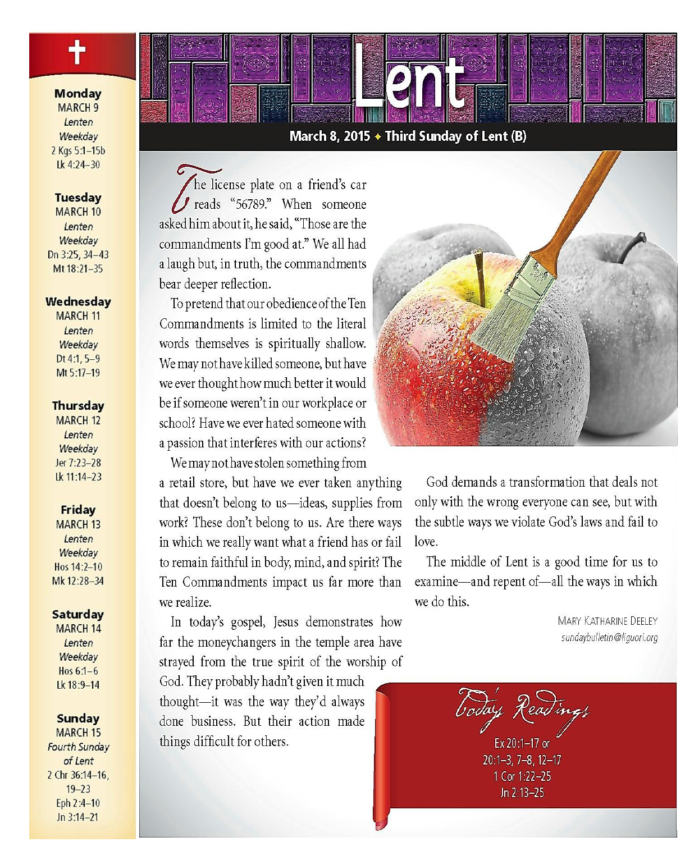**Monday** 

**MARCH 9** Lenten Weekdav 2 Kgs 5:1-15b Lk 4:24-30

**Tuesday** 

**MARCH 10** Lenten Weekdav Dn 3:25, 34-43 Mt 18:21-35

#### Wednesday

**MARCH 11** Lenten Weekdav  $Dt 4:1, 5-9$ Mt 5:17-19

#### **Thursday**

**MARCH 12** Lenten Weekday Jer 7:23-28 Lk 11:14-23

#### **Friday**

**MARCH 13** Lenten Weekdav Hos 14:2-10 Mk 12:28-34

#### Saturday

**MARCH 14** Lenten Weekday Hos  $6:1-6$ Ik 18:9-14

#### Sunday

**MARCH 15 Fourth Sunday** of Lent 2 Chr 36:14-16,  $19 - 23$ Eph 2:4-10  $Jn 3:14-21$ 

### March 8, 2015  $\div$  Third Sunday of Lent (B)

he license plate on a friend's car J reads "56789." When someone asked him about it, he said, "Those are the commandments I'm good at." We all had a laugh but, in truth, the commandments bear deeper reflection.

To pretend that our obedience of the Ten Commandments is limited to the literal words themselves is spiritually shallow. We may not have killed someone, but have we ever thought how much better it would be if someone weren't in our workplace or school? Have we ever hated someone with a passion that interferes with our actions?

We may not have stolen something from

a retail store, but have we ever taken anything that doesn't belong to us-ideas, supplies from work? These don't belong to us. Are there ways in which we really want what a friend has or fail to remain faithful in body, mind, and spirit? The Ten Commandments impact us far more than we realize.

In today's gospel, Jesus demonstrates how far the moneychangers in the temple area have strayed from the true spirit of the worship of

God. They probably hadn't given it much thought-it was the way they'd always done business. But their action made things difficult for others.



God demands a transformation that deals not only with the wrong everyone can see, but with the subtle ways we violate God's laws and fail to love.

The middle of Lent is a good time for us to examine—and repent of—all the ways in which we do this.

> MARY KATHARINE DEFLEY sundaybulletin@liquori.org

boday Readings

Ex 20:1-17 or  $20:1 - 3, 7 - 8, 12 - 17$ 1 Cor 1:22-25 Jn 2:13-25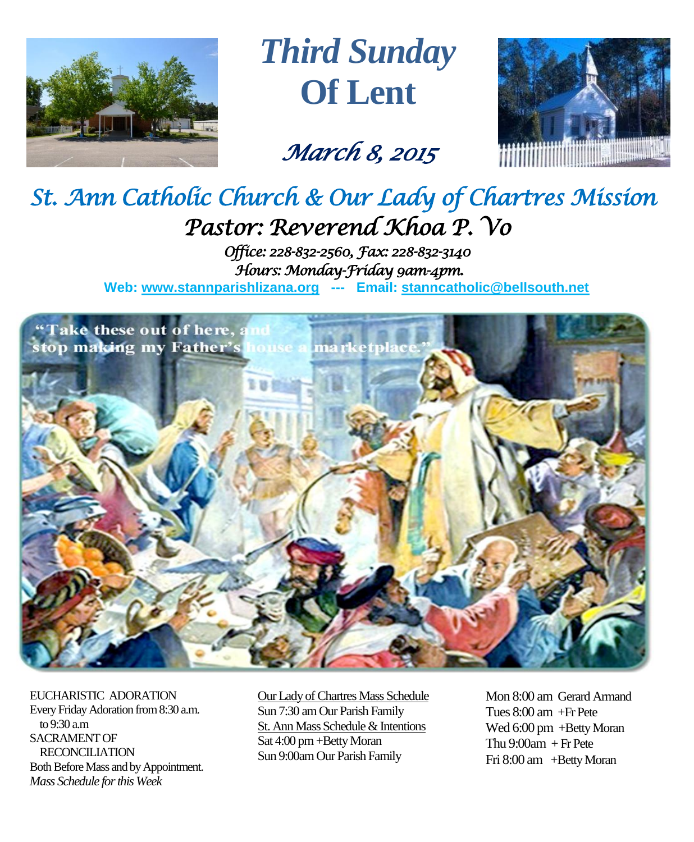

*Third Sunday* **Of Lent**

*March 8, 2015* 



## *St. Ann Catholic Church & Our Lady of Chartres Mission Pastor: Reverend Khoa P. Vo*

*Office: 228-832-2560, Fax: 228-832-3140 Hours: Monday-Friday 9am-4pm.*  **Web: www.stannparishlizana.org --- Email: [stanncatholic@bellsouth.net](mailto:stanncatholic@bellsouth.net)**



EUCHARISTIC ADORATION Every Friday Adoration from 8:30 a.m. to 9:30 a.m SACRAMENT OF RECONCILIATION Both Before Mass and by Appointment. *Mass Schedule for this Week* 

Our Lady of Chartres Mass Schedule Sun 7:30 am Our Parish Family St. Ann Mass Schedule & Intentions Sat 4:00 pm+Betty Moran Sun 9:00am Our Parish Family

Mon 8:00 am Gerard Armand Tues 8:00 am +Fr Pete Wed 6:00 pm +Betty Moran Thu  $9:00$ am  $+$  Fr Pete Fri 8:00 am +Betty Moran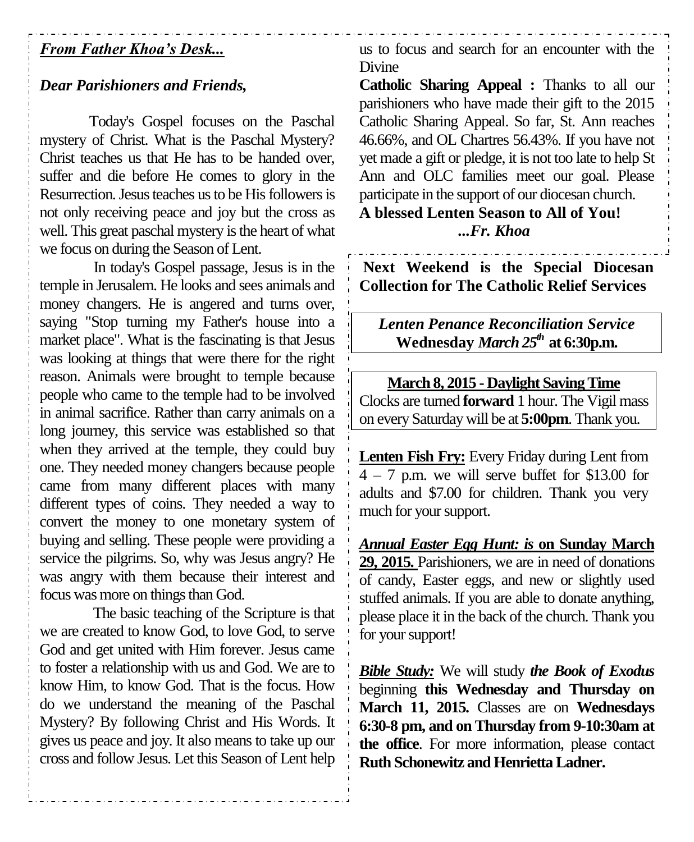## *From Father Khoa's Desk...*

## *Dear Parishioners and Friends,*

Today's Gospel focuses on the Paschal mystery of Christ. What is the Paschal Mystery? Christ teaches us that He has to be handed over, suffer and die before He comes to glory in the Resurrection. Jesus teaches us to be His followers is not only receiving peace and joy but the cross as well. This great paschal mystery is the heart of what we focus on during the Season of Lent.

In today's Gospel passage, Jesus is in the temple in Jerusalem. He looks and sees animals and money changers. He is angered and turns over, saying "Stop turning my Father's house into a market place". What is the fascinating is that Jesus was looking at things that were there for the right reason. Animals were brought to temple because people who came to the temple had to be involved in animal sacrifice. Rather than carry animals on a long journey, this service was established so that when they arrived at the temple, they could buy one. They needed money changers because people came from many different places with many different types of coins. They needed a way to convert the money to one monetary system of buying and selling. These people were providing a service the pilgrims. So, why was Jesus angry? He was angry with them because their interest and focus was more on things than God.

The basic teaching of the Scripture is that we are created to know God, to love God, to serve God and get united with Him forever. Jesus came to foster a relationship with us and God. We are to know Him, to know God. That is the focus. How do we understand the meaning of the Paschal Mystery? By following Christ and His Words. It gives us peace and joy. It also means to take up our cross and follow Jesus. Let this Season of Lent help us to focus and search for an encounter with the Divine

**Catholic Sharing Appeal :** Thanks to all our parishioners who have made their gift to the 2015 Catholic Sharing Appeal. So far, St. Ann reaches 46.66%, and OL Chartres 56.43%. If you have not yet made a gift or pledge, it is not too late to help St Ann and OLC families meet our goal. Please participate in the support of our diocesan church. **A blessed Lenten Season to All of You!**

# *...Fr. Khoa*

**Next Weekend is the Special Diocesan Collection for The Catholic Relief Services**

*Lenten Penance Reconciliation Service* **Wednesday** *March 25th* **at 6:30p.m.**

**March 8, 2015 - Daylight Saving Time** Clocks are turned **forward** 1 hour. The Vigil mass on every Saturday will be at **5:00pm**. Thank you.

**Lenten Fish Fry:** Every Friday during Lent from  $4 - 7$  p.m. we will serve buffet for \$13.00 for adults and \$7.00 for children. Thank you very much for your support.

*Annual Easter Egg Hunt: is* **on Sunday March 29, 2015.** Parishioners, we are in need of donations of candy, Easter eggs, and new or slightly used stuffed animals. If you are able to donate anything, please place it in the back of the church. Thank you for your support!

*Bible Study:* We will study *the Book of Exodus*  beginning **this Wednesday and Thursday on March 11, 2015.** Classes are on **Wednesdays 6:30-8 pm, and on Thursday from 9-10:30am at the office**. For more information, please contact **Ruth Schonewitz and Henrietta Ladner.**